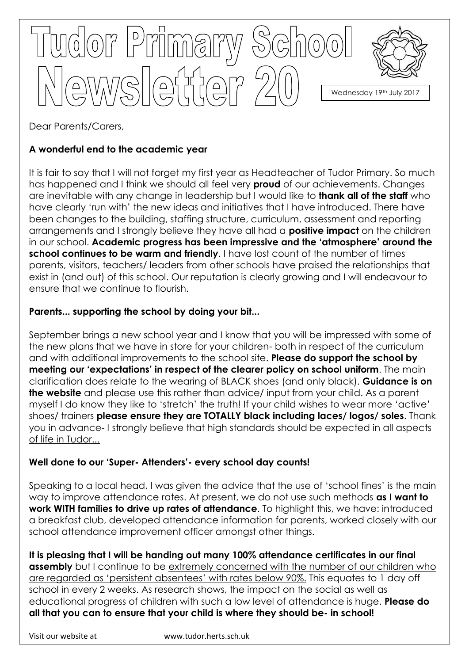

Dear Parents/Carers,

# **A wonderful end to the academic year**

It is fair to say that I will not forget my first year as Headteacher of Tudor Primary. So much has happened and I think we should all feel very **proud** of our achievements. Changes are inevitable with any change in leadership but I would like to **thank all of the staff** who have clearly 'run with' the new ideas and initiatives that I have introduced. There have been changes to the building, staffing structure, curriculum, assessment and reporting arrangements and I strongly believe they have all had a **positive impact** on the children in our school. **Academic progress has been impressive and the 'atmosphere' around the school continues to be warm and friendly**. I have lost count of the number of times parents, visitors, teachers/ leaders from other schools have praised the relationships that exist in (and out) of this school. Our reputation is clearly growing and I will endeavour to ensure that we continue to flourish.

## **Parents... supporting the school by doing your bit...**

September brings a new school year and I know that you will be impressed with some of the new plans that we have in store for your children- both in respect of the curriculum and with additional improvements to the school site. **Please do support the school by meeting our 'expectations' in respect of the clearer policy on school uniform**. The main clarification does relate to the wearing of BLACK shoes (and only black). **Guidance is on the website** and please use this rather than advice/ input from your child. As a parent myself I do know they like to 'stretch' the truth! If your child wishes to wear more 'active' shoes/ trainers **please ensure they are TOTALLY black including laces/ logos/ soles**. Thank you in advance- I strongly believe that high standards should be expected in all aspects of life in Tudor...

## **Well done to our 'Super- Attenders'- every school day counts!**

Speaking to a local head, I was given the advice that the use of 'school fines' is the main way to improve attendance rates. At present, we do not use such methods **as I want to work WITH families to drive up rates of attendance**. To highlight this, we have: introduced a breakfast club, developed attendance information for parents, worked closely with our school attendance improvement officer amongst other things.

**It is pleasing that I will be handing out many 100% attendance certificates in our final assembly** but I continue to be extremely concerned with the number of our children who are regarded as 'persistent absentees' with rates below 90%. This equates to 1 day off school in every 2 weeks. As research shows, the impact on the social as well as educational progress of children with such a low level of attendance is huge. **Please do all that you can to ensure that your child is where they should be- in school!**